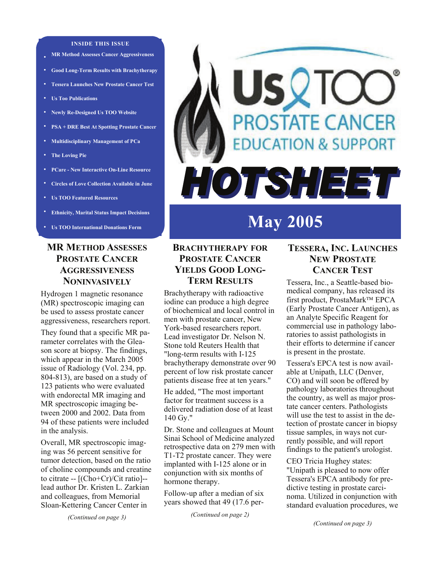#### **INSIDE THIS ISSUE**

- **MR Method Assesses Cancer Aggressiveness**
- **• Good Long-Term Results with Brachytherapy**
- **• Tessera Launches New Prostate Cancer Test**
- **• Us Too Publications**
- **• Newly Re-Designed Us TOO Website**
- **• PSA + DRE Best At Spotting Prostate Cancer**
- **• Multidisciplinary Management of PCa**
- **• The Loving Pie**
- **• PCare New Interactive On-Line Resource**
- **• Circles of Love Collection Available in June**
- **• Us TOO Featured Resources**
- **Ethnicity, Marital Status Impact Decisions**
- **Us TOO International Donations Form**

#### **MR METHOD ASSESSES PROSTATE CANCER AGGRESSIVENESS NONINVASIVELY**

Hydrogen 1 magnetic resonance (MR) spectroscopic imaging can be used to assess prostate cancer aggressiveness, researchers report.

They found that a specific MR parameter correlates with the Gleason score at biopsy. The findings, which appear in the March 2005 issue of Radiology (Vol. 234, pp. 804-813), are based on a study of 123 patients who were evaluated with endorectal MR imaging and MR spectroscopic imaging between 2000 and 2002. Data from 94 of these patients were included in the analysis.

Overall, MR spectroscopic imaging was 56 percent sensitive for tumor detection, based on the ratio of choline compounds and creatine to citrate -- [(Cho+Cr)/Cit ratio]- lead author Dr. Kristen L. Zarkian and colleagues, from Memorial Sloan-Kettering Cancer Center in

*(Continued on page 3)* 

# **USQTC PROSTATE CANCER DUCATION & SUPPORT** HOTSHEET

## **May 2005**

#### **BRACHYTHERAPY FOR PROSTATE CANCER YIELDS GOOD LONG-TERM RESULTS**

Brachytherapy with radioactive iodine can produce a high degree of biochemical and local control in men with prostate cancer, New York-based researchers report. Lead investigator Dr. Nelson N. Stone told Reuters Health that "long-term results with I-125 brachytherapy demonstrate over 90 percent of low risk prostate cancer patients disease free at ten years."

He added, "The most important factor for treatment success is a delivered radiation dose of at least 140 Gy."

Dr. Stone and colleagues at Mount Sinai School of Medicine analyzed retrospective data on 279 men with T1-T2 prostate cancer. They were implanted with I-125 alone or in conjunction with six months of hormone therapy.

Follow-up after a median of six years showed that 49 (17.6 per-

*(Continued on page 2)* 

#### **TESSERA, INC. LAUNCHES NEW PROSTATE CANCER TEST**

Tessera, Inc., a Seattle-based biomedical company, has released its first product, ProstaMark™ EPCA (Early Prostate Cancer Antigen), as an Analyte Specific Reagent for commercial use in pathology laboratories to assist pathologists in their efforts to determine if cancer is present in the prostate.

Tessera's EPCA test is now available at Unipath, LLC (Denver, CO) and will soon be offered by pathology laboratories throughout the country, as well as major prostate cancer centers. Pathologists will use the test to assist in the detection of prostate cancer in biopsy tissue samples, in ways not currently possible, and will report findings to the patient's urologist.

CEO Tricia Hughey states: "Unipath is pleased to now offer Tessera's EPCA antibody for predictive testing in prostate carcinoma. Utilized in conjunction with standard evaluation procedures, we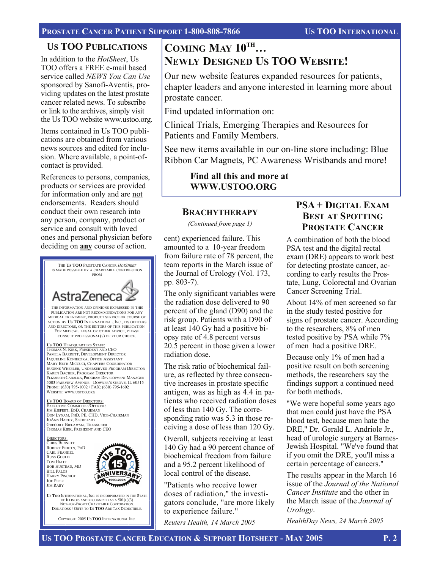#### **US TOO PUBLICATIONS**

In addition to the *HotSheet*, Us TOO offers a FREE e-mail based service called *NEWS You Can Use*  sponsored by Sanofi-Aventis, providing updates on the latest prostate cancer related news. To subscribe or link to the archives, simply visit the Us TOO website www.ustoo.org.

Items contained in Us TOO publications are obtained from various news sources and edited for inclusion. Where available, a point-ofcontact is provided.

References to persons, companies, products or services are provided for information only and are not endorsements. Readers should conduct their own research into any person, company, product or service and consult with loved ones and personal physician before deciding on **any** course of action.



NOT-FOR-PROFIT CHARITABLE CORPORATION DONATIONS / GIFTS TO **US TOO** ARE TAX DEDUCTIBLE. COPYRIGHT 2005 **US TOO** INTERNATIONAL INC.

**COMING MAY 10TH… NEWLY DESIGNED US TOO WEBSITE!** 

Our new website features expanded resources for patients, chapter leaders and anyone interested in learning more about prostate cancer.

Find updated information on:

Clinical Trials, Emerging Therapies and Resources for Patients and Family Members.

See new items available in our on-line store including: Blue Ribbon Car Magnets, PC Awareness Wristbands and more!

> **Find all this and more at WWW.USTOO.ORG**

#### **BRACHYTHERAPY**

*(Continued from page 1)* 

cent) experienced failure. This amounted to a 10-year freedom from failure rate of 78 percent, the team reports in the March issue of the Journal of Urology (Vol. 173, pp. 803-7).

The only significant variables were the radiation dose delivered to 90 percent of the gland (D90) and the risk group. Patients with a D90 of at least 140 Gy had a positive biopsy rate of 4.8 percent versus 20.5 percent in those given a lower radiation dose.

The risk ratio of biochemical failure, as reflected by three consecutive increases in prostate specific antigen, was as high as 4.4 in patients who received radiation doses of less than 140 Gy. The corresponding ratio was 5.3 in those receiving a dose of less than 120 Gy.

Overall, subjects receiving at least 140 Gy had a 90 percent chance of biochemical freedom from failure and a 95.2 percent likelihood of local control of the disease.

"Patients who receive lower doses of radiation," the investigators conclude, "are more likely to experience failure."

*Reuters Health, 14 March 2005* 

### **PSA + DIGITAL EXAM BEST AT SPOTTING PROSTATE CANCER**

A combination of both the blood PSA test and the digital rectal exam (DRE) appears to work best for detecting prostate cancer, according to early results the Prostate, Lung, Colorectal and Ovarian Cancer Screening Trial.

About 14% of men screened so far in the study tested positive for signs of prostate cancer. According to the researchers, 8% of men tested positive by PSA while 7% of men had a positive DRE.

Because only 1% of men had a positive result on both screening methods, the researchers say the findings support a continued need for both methods.

"We were hopeful some years ago that men could just have the PSA blood test, because men hate the DRE," Dr. Gerald L. Andriole Jr., head of urologic surgery at Barnes-Jewish Hospital. "We've found that if you omit the DRE, you'll miss a certain percentage of cancers."

The results appear in the March 16 issue of the *Journal of the National Cancer Institute* and the other in the March issue of the *Journal of Urology*.

*HealthDay News, 24 March 2005*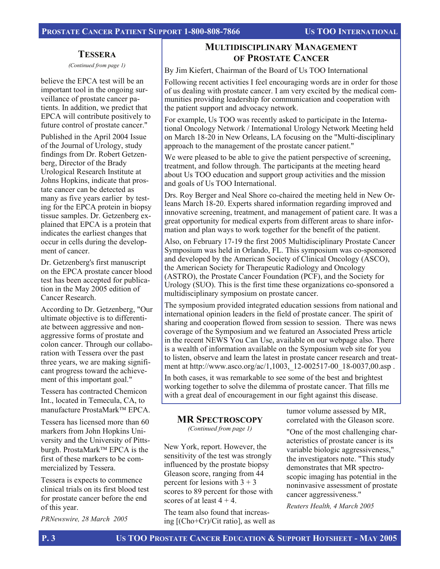#### **TESSERA**

*(Continued from page 1)* 

believe the EPCA test will be an important tool in the ongoing surveillance of prostate cancer patients. In addition, we predict that EPCA will contribute positively to future control of prostate cancer."

Published in the April 2004 Issue of the Journal of Urology, study findings from Dr. Robert Getzenberg, Director of the Brady Urological Research Institute at Johns Hopkins, indicate that prostate cancer can be detected as many as five years earlier by testing for the EPCA protein in biopsy tissue samples. Dr. Getzenberg explained that EPCA is a protein that indicates the earliest changes that occur in cells during the development of cancer.

Dr. Getzenberg's first manuscript on the EPCA prostate cancer blood test has been accepted for publication in the May 2005 edition of Cancer Research.

According to Dr. Getzenberg, "Our ultimate objective is to differentiate between aggressive and nonaggressive forms of prostate and colon cancer. Through our collaboration with Tessera over the past three years, we are making significant progress toward the achievement of this important goal."

Tessera has contracted Chemicon Int., located in Temecula, CA, to manufacture ProstaMark™ EPCA.

Tessera has licensed more than 60 markers from John Hopkins University and the University of Pittsburgh. ProstaMark™ EPCA is the first of these markers to be commercialized by Tessera.

Tessera is expects to commence clinical trials on its first blood test for prostate cancer before the end of this year.

*PRNewswire, 28 March 2005* 

## **MULTIDISCIPLINARY MANAGEMENT OF PROSTATE CANCER**

By Jim Kiefert, Chairman of the Board of Us TOO International

Following recent activities I feel encouraging words are in order for those of us dealing with prostate cancer. I am very excited by the medical communities providing leadership for communication and cooperation with the patient support and advocacy network.

For example, Us TOO was recently asked to participate in the International Oncology Network / International Urology Network Meeting held on March 18-20 in New Orleans, LA focusing on the "Multi-disciplinary approach to the management of the prostate cancer patient."

We were pleased to be able to give the patient perspective of screening, treatment, and follow through. The participants at the meeting heard about Us TOO education and support group activities and the mission and goals of Us TOO International.

Drs. Roy Berger and Neal Shore co-chaired the meeting held in New Orleans March 18-20. Experts shared information regarding improved and innovative screening, treatment, and management of patient care. It was a great opportunity for medical experts from different areas to share information and plan ways to work together for the benefit of the patient.

Also, on February 17-19 the first 2005 Multidisciplinary Prostate Cancer Symposium was held in Orlando, FL. This symposium was co-sponsored and developed by the American Society of Clinical Oncology (ASCO), the American Society for Therapeutic Radiology and Oncology (ASTRO), the Prostate Cancer Foundation (PCF), and the Society for Urology (SUO). This is the first time these organizations co-sponsored a multidisciplinary symposium on prostate cancer.

The symposium provided integrated education sessions from national and international opinion leaders in the field of prostate cancer. The spirit of sharing and cooperation flowed from session to session. There was news coverage of the Symposium and we featured an Associated Press article in the recent NEWS You Can Use, available on our webpage also. There is a wealth of information available on the Symposium web site for you to listen, observe and learn the latest in prostate cancer research and treatment at http://www.asco.org/ac/1,1003, 12-002517-00 18-0037,00.asp.

In both cases, it was remarkable to see some of the best and brightest working together to solve the dilemma of prostate cancer. That fills me with a great deal of encouragement in our fight against this disease.

#### **MR SPECTROSCOPY**

*(Continued from page 1)* 

New York, report. However, the sensitivity of the test was strongly influenced by the prostate biopsy Gleason score, ranging from 44 percent for lesions with  $3 + 3$ scores to 89 percent for those with scores of at least  $4 + 4$ .

The team also found that increasing [(Cho+Cr)/Cit ratio], as well as tumor volume assessed by MR, correlated with the Gleason score.

"One of the most challenging characteristics of prostate cancer is its variable biologic aggressiveness," the investigators note. "This study demonstrates that MR spectroscopic imaging has potential in the noninvasive assessment of prostate cancer aggressiveness."

*Reuters Health, 4 March 2005*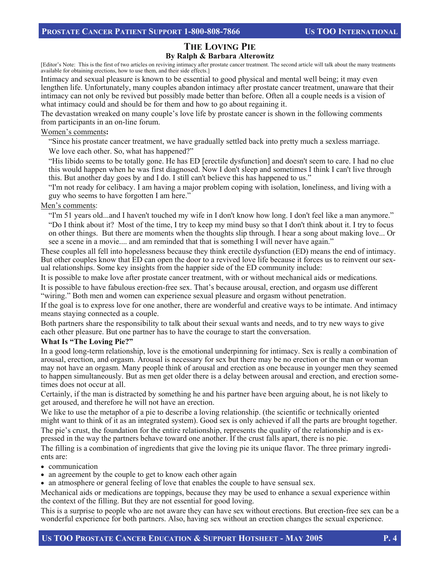#### **THE LOVING PIE By Ralph & Barbara Alterowitz**

[Editor's Note: This is the first of two articles on reviving intimacy after prostate cancer treatment. The second article will talk about the many treatments available for obtaining erections, how to use them, and their side effects.]

Intimacy and sexual pleasure is known to be essential to good physical and mental well being; it may even lengthen life. Unfortunately, many couples abandon intimacy after prostate cancer treatment, unaware that their intimacy can not only be revived but possibly made better than before. Often all a couple needs is a vision of what intimacy could and should be for them and how to go about regaining it.

The devastation wreaked on many couple's love life by prostate cancer is shown in the following comments from participants in an on-line forum.

#### Women's comments**:**

"Since his prostate cancer treatment, we have gradually settled back into pretty much a sexless marriage. We love each other. So, what has happened?"

"His libido seems to be totally gone. He has ED [erectile dysfunction] and doesn't seem to care. I had no clue this would happen when he was first diagnosed. Now I don't sleep and sometimes I think I can't live through this. But another day goes by and I do. I still can't believe this has happened to us."

"I'm not ready for celibacy. I am having a major problem coping with isolation, loneliness, and living with a guy who seems to have forgotten I am here."

#### Men's comments:

"I'm 51 years old...and I haven't touched my wife in I don't know how long. I don't feel like a man anymore." "Do I think about it? Most of the time, I try to keep my mind busy so that I don't think about it. I try to focus on other things. But there are moments when the thoughts slip through. I hear a song about making love... Or see a scene in a movie.... and am reminded that that is something I will never have again."

These couples all fell into hopelessness because they think erectile dysfunction (ED) means the end of intimacy. But other couples know that ED can open the door to a revived love life because it forces us to reinvent our sexual relationships. Some key insights from the happier side of the ED community include:

It is possible to make love after prostate cancer treatment, with or without mechanical aids or medications.

It is possible to have fabulous erection-free sex. That's because arousal, erection, and orgasm use different "wiring." Both men and women can experience sexual pleasure and orgasm without penetration.

If the goal is to express love for one another, there are wonderful and creative ways to be intimate. And intimacy means staying connected as a couple.

Both partners share the responsibility to talk about their sexual wants and needs, and to try new ways to give each other pleasure. But one partner has to have the courage to start the conversation.

#### **What Is "The Loving Pie?"**

In a good long-term relationship, love is the emotional underpinning for intimacy. Sex is really a combination of arousal, erection, and orgasm. Arousal is necessary for sex but there may be no erection or the man or woman may not have an orgasm. Many people think of arousal and erection as one because in younger men they seemed to happen simultaneously. But as men get older there is a delay between arousal and erection, and erection sometimes does not occur at all.

Certainly, if the man is distracted by something he and his partner have been arguing about, he is not likely to get aroused, and therefore he will not have an erection.

We like to use the metaphor of a pie to describe a loving relationship. (the scientific or technically oriented might want to think of it as an integrated system). Good sex is only achieved if all the parts are brought together. The pie's crust, the foundation for the entire relationship, represents the quality of the relationship and is ex-

pressed in the way the partners behave toward one another. If the crust falls apart, there is no pie.

The filling is a combination of ingredients that give the loving pie its unique flavor. The three primary ingredients are:

- communication
- an agreement by the couple to get to know each other again
- an atmosphere or general feeling of love that enables the couple to have sensual sex.

Mechanical aids or medications are toppings, because they may be used to enhance a sexual experience within the context of the filling. But they are not essential for good loving.

This is a surprise to people who are not aware they can have sex without erections. But erection-free sex can be a wonderful experience for both partners. Also, having sex without an erection changes the sexual experience.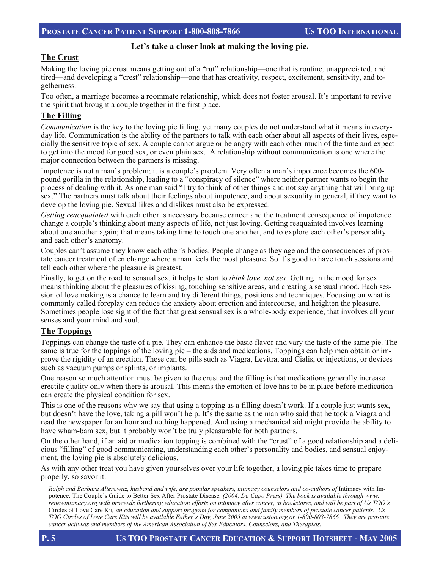#### **Let's take a closer look at making the loving pie.**

#### **The Crust**

Making the loving pie crust means getting out of a "rut" relationship—one that is routine, unappreciated, and tired—and developing a "crest" relationship—one that has creativity, respect, excitement, sensitivity, and togetherness.

Too often, a marriage becomes a roommate relationship, which does not foster arousal. It's important to revive the spirit that brought a couple together in the first place.

#### **The Filling**

*Communication* is the key to the loving pie filling, yet many couples do not understand what it means in everyday life. Communication is the ability of the partners to talk with each other about all aspects of their lives, especially the sensitive topic of sex. A couple cannot argue or be angry with each other much of the time and expect to get into the mood for good sex, or even plain sex. A relationship without communication is one where the major connection between the partners is missing.

Impotence is not a man's problem; it is a couple's problem. Very often a man's impotence becomes the 600 pound gorilla in the relationship, leading to a "conspiracy of silence" where neither partner wants to begin the process of dealing with it. As one man said "I try to think of other things and not say anything that will bring up sex." The partners must talk about their feelings about impotence, and about sexuality in general, if they want to develop the loving pie. Sexual likes and dislikes must also be expressed.

*Getting reacquainted* with each other is necessary because cancer and the treatment consequence of impotence change a couple's thinking about many aspects of life, not just loving. Getting reaquainted involves learning about one another again; that means taking time to touch one another, and to explore each other's personality and each other's anatomy.

Couples can't assume they know each other's bodies. People change as they age and the consequences of prostate cancer treatment often change where a man feels the most pleasure. So it's good to have touch sessions and tell each other where the pleasure is greatest.

Finally, to get on the road to sensual sex, it helps to start to *think love, not sex.* Getting in the mood for sex means thinking about the pleasures of kissing, touching sensitive areas, and creating a sensual mood. Each session of love making is a chance to learn and try different things, positions and techniques. Focusing on what is commonly called foreplay can reduce the anxiety about erection and intercourse, and heighten the pleasure. Sometimes people lose sight of the fact that great sensual sex is a whole-body experience, that involves all your senses and your mind and soul.

#### **The Toppings**

Toppings can change the taste of a pie. They can enhance the basic flavor and vary the taste of the same pie. The same is true for the toppings of the loving pie – the aids and medications. Toppings can help men obtain or improve the rigidity of an erection. These can be pills such as Viagra, Levitra, and Cialis, or injections, or devices such as vacuum pumps or splints, or implants.

One reason so much attention must be given to the crust and the filling is that medications generally increase erectile quality only when there is arousal. This means the emotion of love has to be in place before medication can create the physical condition for sex.

This is one of the reasons why we say that using a topping as a filling doesn't work. If a couple just wants sex, but doesn't have the love, taking a pill won't help. It's the same as the man who said that he took a Viagra and read the newspaper for an hour and nothing happened. And using a mechanical aid might provide the ability to have wham-bam sex, but it probably won't be truly pleasurable for both partners.

On the other hand, if an aid or medication topping is combined with the "crust" of a good relationship and a delicious "filling" of good communicating, understanding each other's personality and bodies, and sensual enjoyment, the loving pie is absolutely delicious.

As with any other treat you have given yourselves over your life together, a loving pie takes time to prepare properly, so savor it.

*Ralph and Barbara Alterowitz, husband and wife, are popular speakers, intimacy counselors and co-authors of Intimacy with Im*potence: The Couple's Guide to Better Sex After Prostate Disease*, (2004, Da Capo Press). The book is available through www. renewintimacy.org with proceeds furthering education efforts on intimacy after cancer, at bookstores, and will be part of Us TOO's*  Circles of Love Care Kit*, an education and support program for companions and family members of prostate cancer patients. Us TOO Circles of Love Care Kits will be available Father's Day, June 2005 at www.ustoo.org or 1-800-808-7866. They are prostate cancer activists and members of the American Association of Sex Educators, Counselors, and Therapists.*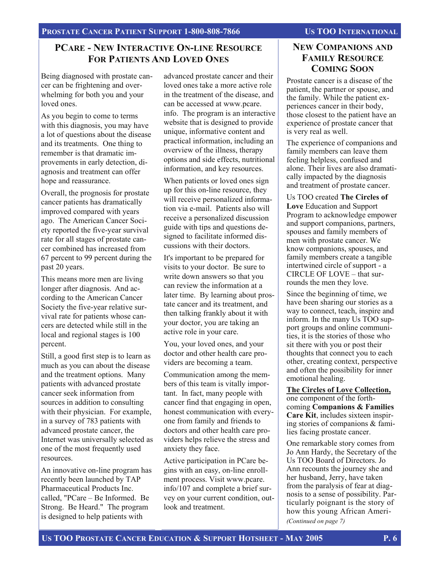### **PCARE - NEW INTERACTIVE ON-LINE RESOURCE FOR PATIENTS AND LOVED ONES**

Being diagnosed with prostate cancer can be frightening and overwhelming for both you and your loved ones.

As you begin to come to terms with this diagnosis, you may have a lot of questions about the disease and its treatments. One thing to remember is that dramatic improvements in early detection, diagnosis and treatment can offer hope and reassurance.

Overall, the prognosis for prostate cancer patients has dramatically improved compared with years ago. The American Cancer Society reported the five-year survival rate for all stages of prostate cancer combined has increased from 67 percent to 99 percent during the past 20 years.

This means more men are living longer after diagnosis. And according to the American Cancer Society the five-year relative survival rate for patients whose cancers are detected while still in the local and regional stages is 100 percent.

Still, a good first step is to learn as much as you can about the disease and the treatment options. Many patients with advanced prostate cancer seek information from sources in addition to consulting with their physician. For example, in a survey of 783 patients with advanced prostate cancer, the Internet was universally selected as one of the most frequently used resources.

An innovative on-line program has recently been launched by TAP Pharmaceutical Products Inc. called, "PCare – Be Informed. Be Strong. Be Heard." The program is designed to help patients with

advanced prostate cancer and their loved ones take a more active role in the treatment of the disease, and can be accessed at www.pcare. info. The program is an interactive website that is designed to provide unique, informative content and practical information, including an overview of the illness, therapy options and side effects, nutritional information, and key resources.

When patients or loved ones sign up for this on-line resource, they will receive personalized information via e-mail. Patients also will receive a personalized discussion guide with tips and questions designed to facilitate informed discussions with their doctors.

It's important to be prepared for visits to your doctor. Be sure to write down answers so that you can review the information at a later time. By learning about prostate cancer and its treatment, and then talking frankly about it with your doctor, you are taking an active role in your care.

You, your loved ones, and your doctor and other health care providers are becoming a team.

Communication among the members of this team is vitally important. In fact, many people with cancer find that engaging in open, honest communication with everyone from family and friends to doctors and other health care providers helps relieve the stress and anxiety they face.

Active participation in PCare begins with an easy, on-line enrollment process. Visit www.pcare. info/107 and complete a brief survey on your current condition, outlook and treatment.

#### **NEW COMPANIONS AND FAMILY RESOURCE COMING SOON**

Prostate cancer is a disease of the patient, the partner or spouse, and the family. While the patient experiences cancer in their body, those closest to the patient have an experience of prostate cancer that is very real as well.

The experience of companions and family members can leave them feeling helpless, confused and alone. Their lives are also dramatically impacted by the diagnosis and treatment of prostate cancer.

Us TOO created **The Circles of Love** Education and Support Program to acknowledge empower and support companions, partners, spouses and family members of men with prostate cancer. We know companions, spouses, and family members create a tangible intertwined circle of support - a CIRCLE OF LOVE – that surrounds the men they love.

Since the beginning of time, we have been sharing our stories as a way to connect, teach, inspire and inform. In the many Us TOO support groups and online communities, it is the stories of those who sit there with you or post their thoughts that connect you to each other, creating context, perspective and often the possibility for inner emotional healing.

**The Circles of Love Collection,** one component of the forthcoming **Companions & Families Care Kit**, includes sixteen inspiring stories of companions & families facing prostate cancer.

One remarkable story comes from Jo Ann Hardy, the Secretary of the Us TOO Board of Directors. Jo Ann recounts the journey she and her husband, Jerry, have taken from the paralysis of fear at diagnosis to a sense of possibility. Particularly poignant is the story of how this young African Ameri- *(Continued on page 7)*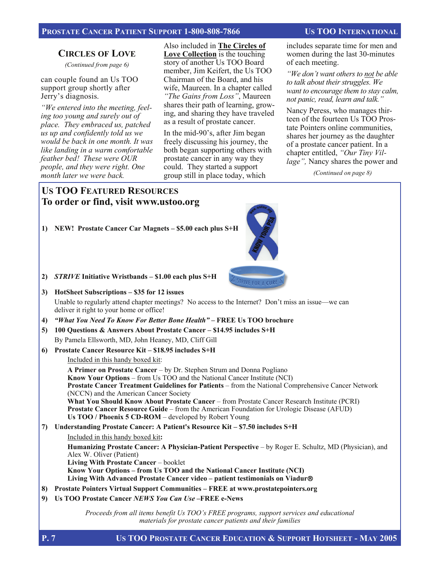#### PROSTATE CANCER PATIENT SUPPORT 1-800-808-7866 US TOO INTERNATIONAL

#### **CIRCLES OF LOVE**

*(Continued from page 6)* 

can couple found an Us TOO support group shortly after Jerry's diagnosis.

*"We entered into the meeting, feeling too young and surely out of place. They embraced us, patched us up and confidently told us we would be back in one month. It was like landing in a warm comfortable feather bed! These were OUR people, and they were right. One month later we were back.* 

Also included in **The Circles of Love Collection** is the touching story of another Us TOO Board member, Jim Keifert, the Us TOO Chairman of the Board, and his wife, Maureen. In a chapter called *"The Gains from Loss"*, Maureen shares their path of learning, growing, and sharing they have traveled as a result of prostate cancer.

In the mid-90's, after Jim began freely discussing his journey, the both began supporting others with prostate cancer in any way they could. They started a support group still in place today, which

includes separate time for men and women during the last 30-minutes of each meeting.

*"We don't want others to not be able to talk about their struggles. We want to encourage them to stay calm, not panic, read, learn and talk."*

Nancy Peress, who manages thirteen of the fourteen Us TOO Prostate Pointers online communities, shares her journey as the daughter of a prostate cancer patient. In a chapter entitled, *"Our Tiny Village",* Nancy shares the power and

*(Continued on page 8)* 

### **US TOO FEATURED RESOURCES To order or find, visit www.ustoo.org**

**1) NEW! Prostate Cancer Car Magnets – \$5.00 each plus S+H** 



- **2)** *STRIVE* **Initiative Wristbands \$1.00 each plus S+H**
- **3) HotSheet Subscriptions \$35 for 12 issues**  Unable to regularly attend chapter meetings? No access to the Internet? Don't miss an issue—we can deliver it right to your home or office!
- **4)** *"What You Need To Know For Better Bone Health"* **FREE Us TOO brochure**
- **5) 100 Questions & Answers About Prostate Cancer \$14.95 includes S+H** By Pamela Ellsworth, MD, John Heaney, MD, Cliff Gill

#### **6) Prostate Cancer Resource Kit – \$18.95 includes S+H**

Included in this handy boxed kit:

 **A Primer on Prostate Cancer** – by Dr. Stephen Strum and Donna Pogliano  **Know Your Options** – from Us TOO and the National Cancer Institute (NCI)  **Prostate Cancer Treatment Guidelines for Patients** – from the National Comprehensive Cancer Network (NCCN) and the American Cancer Society  **What You Should Know About Prostate Cancer** – from Prostate Cancer Research Institute (PCRI)  **Prostate Cancer Resource Guide** – from the American Foundation for Urologic Disease (AFUD)  **Us TOO / Phoenix 5 CD-ROM** – developed by Robert Young

**7) Understanding Prostate Cancer: A Patient's Resource Kit – \$7.50 includes S+H** 

 Included in this handy boxed kit**: Humanizing Prostate Cancer: A Physician-Patient Perspective** – by Roger E. Schultz, MD (Physician), and Alex W. Oliver (Patient)  **Living With Prostate Cancer** – booklet  **Know Your Options – from Us TOO and the National Cancer Institute (NCI) Living With Advanced Prostate Cancer video – patient testimonials on Viadur**®

- **8) Prostate Pointers Virtual Support Communities FREE at www.prostatepointers.org**
- **9) Us TOO Prostate Cancer** *NEWS You Can Use* **–FREE e-News**

*Proceeds from all items benefit Us TOO's FREE programs, support services and educational materials for prostate cancer patients and their families*